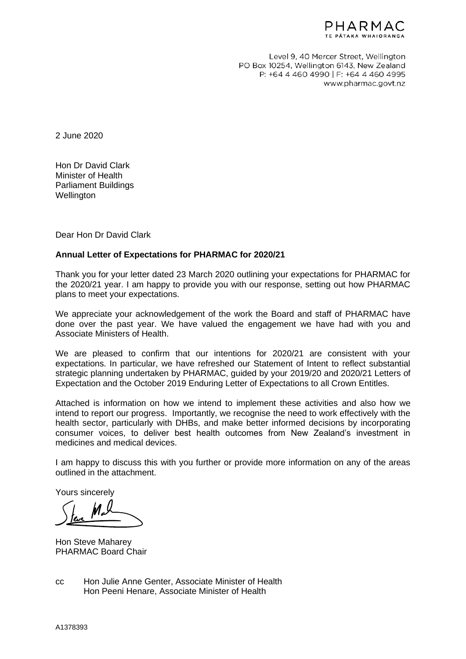

Level 9, 40 Mercer Street, Wellington PO Box 10254, Wellington 6143, New Zealand P: +64 4 460 4990 | F: +64 4 460 4995 www.pharmac.govt.nz

2 June 2020

Hon Dr David Clark Minister of Health Parliament Buildings **Wellington** 

Dear Hon Dr David Clark

## **Annual Letter of Expectations for PHARMAC for 2020/21**

Thank you for your letter dated 23 March 2020 outlining your expectations for PHARMAC for the 2020/21 year. I am happy to provide you with our response, setting out how PHARMAC plans to meet your expectations.

We appreciate your acknowledgement of the work the Board and staff of PHARMAC have done over the past year. We have valued the engagement we have had with you and Associate Ministers of Health.

We are pleased to confirm that our intentions for 2020/21 are consistent with your expectations. In particular, we have refreshed our Statement of Intent to reflect substantial strategic planning undertaken by PHARMAC, guided by your 2019/20 and 2020/21 Letters of Expectation and the October 2019 Enduring Letter of Expectations to all Crown Entitles.

Attached is information on how we intend to implement these activities and also how we intend to report our progress. Importantly, we recognise the need to work effectively with the health sector, particularly with DHBs, and make better informed decisions by incorporating consumer voices, to deliver best health outcomes from New Zealand's investment in medicines and medical devices.

I am happy to discuss this with you further or provide more information on any of the areas outlined in the attachment.

Yours sincerely

Hon Steve Maharey PHARMAC Board Chair

cc Hon Julie Anne Genter, Associate Minister of Health Hon Peeni Henare, Associate Minister of Health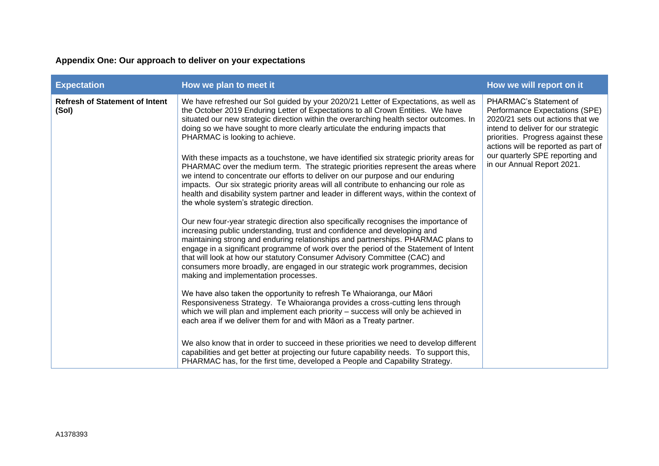## **Appendix One: Our approach to deliver on your expectations**

| <b>Expectation</b>                             | How we plan to meet it                                                                                                                                                                                                                                                                                                                                                                                                                                                                                                                                                                                                                                                                                                                                                                                                                                                                                                                                                                                                                                                                                                                                                                                                                                                                                                                                                                                                                                                                                                                                                                                                                                                                                                                                                                                                                                                                                                                                                                                                                   | How we will report on it                                                                                                                                                                                                                                                          |
|------------------------------------------------|------------------------------------------------------------------------------------------------------------------------------------------------------------------------------------------------------------------------------------------------------------------------------------------------------------------------------------------------------------------------------------------------------------------------------------------------------------------------------------------------------------------------------------------------------------------------------------------------------------------------------------------------------------------------------------------------------------------------------------------------------------------------------------------------------------------------------------------------------------------------------------------------------------------------------------------------------------------------------------------------------------------------------------------------------------------------------------------------------------------------------------------------------------------------------------------------------------------------------------------------------------------------------------------------------------------------------------------------------------------------------------------------------------------------------------------------------------------------------------------------------------------------------------------------------------------------------------------------------------------------------------------------------------------------------------------------------------------------------------------------------------------------------------------------------------------------------------------------------------------------------------------------------------------------------------------------------------------------------------------------------------------------------------------|-----------------------------------------------------------------------------------------------------------------------------------------------------------------------------------------------------------------------------------------------------------------------------------|
| <b>Refresh of Statement of Intent</b><br>(Sol) | We have refreshed our Sol guided by your 2020/21 Letter of Expectations, as well as<br>the October 2019 Enduring Letter of Expectations to all Crown Entities. We have<br>situated our new strategic direction within the overarching health sector outcomes. In<br>doing so we have sought to more clearly articulate the enduring impacts that<br>PHARMAC is looking to achieve.<br>With these impacts as a touchstone, we have identified six strategic priority areas for<br>PHARMAC over the medium term. The strategic priorities represent the areas where<br>we intend to concentrate our efforts to deliver on our purpose and our enduring<br>impacts. Our six strategic priority areas will all contribute to enhancing our role as<br>health and disability system partner and leader in different ways, within the context of<br>the whole system's strategic direction.<br>Our new four-year strategic direction also specifically recognises the importance of<br>increasing public understanding, trust and confidence and developing and<br>maintaining strong and enduring relationships and partnerships. PHARMAC plans to<br>engage in a significant programme of work over the period of the Statement of Intent<br>that will look at how our statutory Consumer Advisory Committee (CAC) and<br>consumers more broadly, are engaged in our strategic work programmes, decision<br>making and implementation processes.<br>We have also taken the opportunity to refresh Te Whaioranga, our Māori<br>Responsiveness Strategy. Te Whaioranga provides a cross-cutting lens through<br>which we will plan and implement each priority - success will only be achieved in<br>each area if we deliver them for and with Māori as a Treaty partner.<br>We also know that in order to succeed in these priorities we need to develop different<br>capabilities and get better at projecting our future capability needs. To support this,<br>PHARMAC has, for the first time, developed a People and Capability Strategy. | PHARMAC's Statement of<br>Performance Expectations (SPE)<br>2020/21 sets out actions that we<br>intend to deliver for our strategic<br>priorities. Progress against these<br>actions will be reported as part of<br>our quarterly SPE reporting and<br>in our Annual Report 2021. |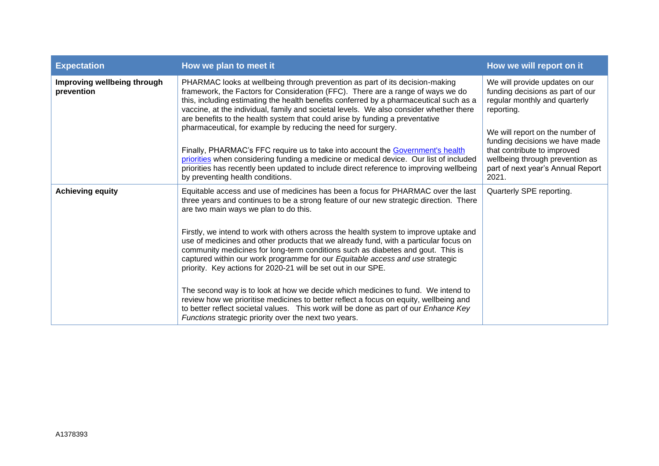| <b>Expectation</b>                        | How we plan to meet it                                                                                                                                                                                                                                                                                                                                                                                                                                                                                                                                                                                                                                                                                                                                                                                                                                                                                                                                                         | How we will report on it                                                                                                                                                                                                                                                                               |
|-------------------------------------------|--------------------------------------------------------------------------------------------------------------------------------------------------------------------------------------------------------------------------------------------------------------------------------------------------------------------------------------------------------------------------------------------------------------------------------------------------------------------------------------------------------------------------------------------------------------------------------------------------------------------------------------------------------------------------------------------------------------------------------------------------------------------------------------------------------------------------------------------------------------------------------------------------------------------------------------------------------------------------------|--------------------------------------------------------------------------------------------------------------------------------------------------------------------------------------------------------------------------------------------------------------------------------------------------------|
| Improving wellbeing through<br>prevention | PHARMAC looks at wellbeing through prevention as part of its decision-making<br>framework, the Factors for Consideration (FFC). There are a range of ways we do<br>this, including estimating the health benefits conferred by a pharmaceutical such as a<br>vaccine, at the individual, family and societal levels. We also consider whether there<br>are benefits to the health system that could arise by funding a preventative<br>pharmaceutical, for example by reducing the need for surgery.<br>Finally, PHARMAC's FFC require us to take into account the Government's health<br>priorities when considering funding a medicine or medical device. Our list of included<br>priorities has recently been updated to include direct reference to improving wellbeing<br>by preventing health conditions.                                                                                                                                                                | We will provide updates on our<br>funding decisions as part of our<br>regular monthly and quarterly<br>reporting.<br>We will report on the number of<br>funding decisions we have made<br>that contribute to improved<br>wellbeing through prevention as<br>part of next year's Annual Report<br>2021. |
| <b>Achieving equity</b>                   | Equitable access and use of medicines has been a focus for PHARMAC over the last<br>three years and continues to be a strong feature of our new strategic direction. There<br>are two main ways we plan to do this.<br>Firstly, we intend to work with others across the health system to improve uptake and<br>use of medicines and other products that we already fund, with a particular focus on<br>community medicines for long-term conditions such as diabetes and gout. This is<br>captured within our work programme for our Equitable access and use strategic<br>priority. Key actions for 2020-21 will be set out in our SPE.<br>The second way is to look at how we decide which medicines to fund. We intend to<br>review how we prioritise medicines to better reflect a focus on equity, wellbeing and<br>to better reflect societal values. This work will be done as part of our <i>Enhance Key</i><br>Functions strategic priority over the next two years. | Quarterly SPE reporting.                                                                                                                                                                                                                                                                               |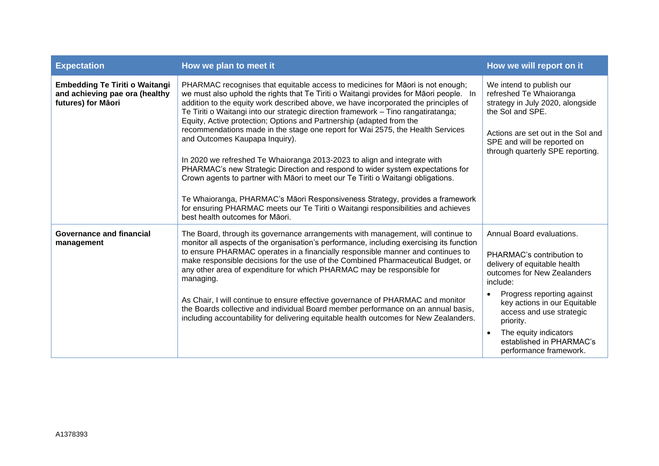| <b>Expectation</b>                                                                            | How we plan to meet it                                                                                                                                                                                                                                                                                                                                                                                                                                                                                                                                                                                                                                                                                                                                                                                                                                                                                                                                                                                      | How we will report on it                                                                                                                                                                                                                                                                                                |
|-----------------------------------------------------------------------------------------------|-------------------------------------------------------------------------------------------------------------------------------------------------------------------------------------------------------------------------------------------------------------------------------------------------------------------------------------------------------------------------------------------------------------------------------------------------------------------------------------------------------------------------------------------------------------------------------------------------------------------------------------------------------------------------------------------------------------------------------------------------------------------------------------------------------------------------------------------------------------------------------------------------------------------------------------------------------------------------------------------------------------|-------------------------------------------------------------------------------------------------------------------------------------------------------------------------------------------------------------------------------------------------------------------------------------------------------------------------|
| <b>Embedding Te Tiriti o Waitangi</b><br>and achieving pae ora (healthy<br>futures) for Māori | PHARMAC recognises that equitable access to medicines for Māori is not enough;<br>we must also uphold the rights that Te Tiriti o Waitangi provides for Māori people. In<br>addition to the equity work described above, we have incorporated the principles of<br>Te Tiriti o Waitangi into our strategic direction framework - Tino rangatiratanga;<br>Equity, Active protection; Options and Partnership (adapted from the<br>recommendations made in the stage one report for Wai 2575, the Health Services<br>and Outcomes Kaupapa Inquiry).<br>In 2020 we refreshed Te Whaioranga 2013-2023 to align and integrate with<br>PHARMAC's new Strategic Direction and respond to wider system expectations for<br>Crown agents to partner with Māori to meet our Te Tiriti o Waitangi obligations.<br>Te Whaioranga, PHARMAC's Māori Responsiveness Strategy, provides a framework<br>for ensuring PHARMAC meets our Te Tiriti o Waitangi responsibilities and achieves<br>best health outcomes for Maori. | We intend to publish our<br>refreshed Te Whaioranga<br>strategy in July 2020, alongside<br>the Sol and SPE.<br>Actions are set out in the Sol and<br>SPE and will be reported on<br>through quarterly SPE reporting.                                                                                                    |
| <b>Governance and financial</b><br>management                                                 | The Board, through its governance arrangements with management, will continue to<br>monitor all aspects of the organisation's performance, including exercising its function<br>to ensure PHARMAC operates in a financially responsible manner and continues to<br>make responsible decisions for the use of the Combined Pharmaceutical Budget, or<br>any other area of expenditure for which PHARMAC may be responsible for<br>managing.<br>As Chair, I will continue to ensure effective governance of PHARMAC and monitor<br>the Boards collective and individual Board member performance on an annual basis,<br>including accountability for delivering equitable health outcomes for New Zealanders.                                                                                                                                                                                                                                                                                                 | Annual Board evaluations.<br>PHARMAC's contribution to<br>delivery of equitable health<br>outcomes for New Zealanders<br>include:<br>Progress reporting against<br>key actions in our Equitable<br>access and use strategic<br>priority.<br>The equity indicators<br>established in PHARMAC's<br>performance framework. |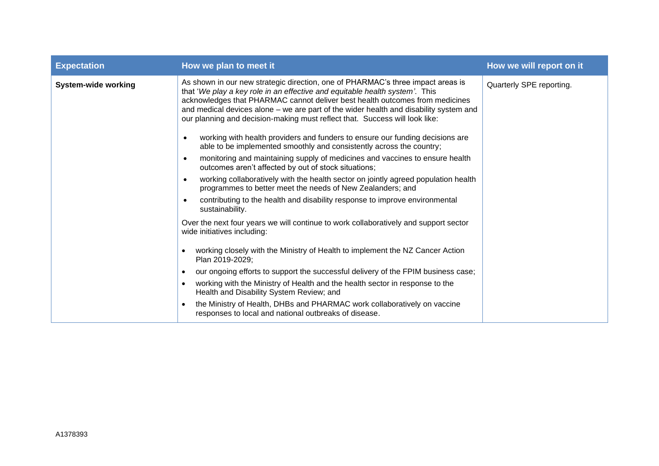| <b>Expectation</b>         | How we plan to meet it                                                                                                                                                                                                                                                                                                                                                                                                 | How we will report on it |
|----------------------------|------------------------------------------------------------------------------------------------------------------------------------------------------------------------------------------------------------------------------------------------------------------------------------------------------------------------------------------------------------------------------------------------------------------------|--------------------------|
| <b>System-wide working</b> | As shown in our new strategic direction, one of PHARMAC's three impact areas is<br>that 'We play a key role in an effective and equitable health system'. This<br>acknowledges that PHARMAC cannot deliver best health outcomes from medicines<br>and medical devices alone - we are part of the wider health and disability system and<br>our planning and decision-making must reflect that. Success will look like: | Quarterly SPE reporting. |
|                            | working with health providers and funders to ensure our funding decisions are<br>able to be implemented smoothly and consistently across the country;                                                                                                                                                                                                                                                                  |                          |
|                            | monitoring and maintaining supply of medicines and vaccines to ensure health<br>outcomes aren't affected by out of stock situations;                                                                                                                                                                                                                                                                                   |                          |
|                            | working collaboratively with the health sector on jointly agreed population health<br>programmes to better meet the needs of New Zealanders; and                                                                                                                                                                                                                                                                       |                          |
|                            | contributing to the health and disability response to improve environmental<br>sustainability.                                                                                                                                                                                                                                                                                                                         |                          |
|                            | Over the next four years we will continue to work collaboratively and support sector<br>wide initiatives including:                                                                                                                                                                                                                                                                                                    |                          |
|                            | working closely with the Ministry of Health to implement the NZ Cancer Action<br>Plan 2019-2029;                                                                                                                                                                                                                                                                                                                       |                          |
|                            | our ongoing efforts to support the successful delivery of the FPIM business case;                                                                                                                                                                                                                                                                                                                                      |                          |
|                            | working with the Ministry of Health and the health sector in response to the<br>Health and Disability System Review; and                                                                                                                                                                                                                                                                                               |                          |
|                            | the Ministry of Health, DHBs and PHARMAC work collaboratively on vaccine<br>$\bullet$<br>responses to local and national outbreaks of disease.                                                                                                                                                                                                                                                                         |                          |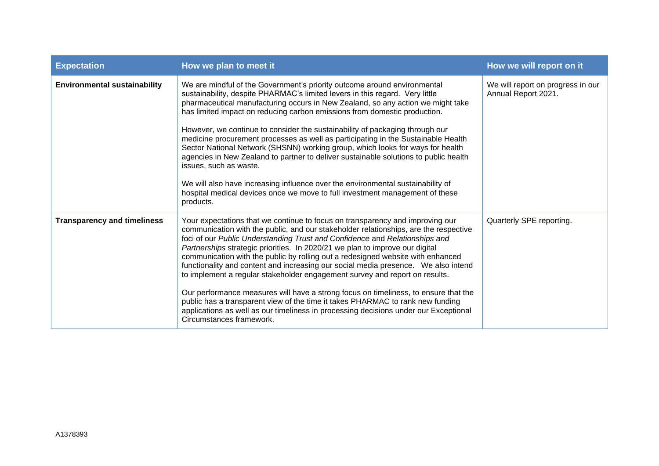| <b>Expectation</b>                  | How we plan to meet it                                                                                                                                                                                                                                                                                                                                                                                                                                                                                                                                                                                                                                                                                                                                                                                                                                                                     | How we will report on it                                 |
|-------------------------------------|--------------------------------------------------------------------------------------------------------------------------------------------------------------------------------------------------------------------------------------------------------------------------------------------------------------------------------------------------------------------------------------------------------------------------------------------------------------------------------------------------------------------------------------------------------------------------------------------------------------------------------------------------------------------------------------------------------------------------------------------------------------------------------------------------------------------------------------------------------------------------------------------|----------------------------------------------------------|
| <b>Environmental sustainability</b> | We are mindful of the Government's priority outcome around environmental<br>sustainability, despite PHARMAC's limited levers in this regard. Very little<br>pharmaceutical manufacturing occurs in New Zealand, so any action we might take<br>has limited impact on reducing carbon emissions from domestic production.<br>However, we continue to consider the sustainability of packaging through our<br>medicine procurement processes as well as participating in the Sustainable Health<br>Sector National Network (SHSNN) working group, which looks for ways for health<br>agencies in New Zealand to partner to deliver sustainable solutions to public health<br>issues, such as waste.<br>We will also have increasing influence over the environmental sustainability of<br>hospital medical devices once we move to full investment management of these<br>products.          | We will report on progress in our<br>Annual Report 2021. |
| <b>Transparency and timeliness</b>  | Your expectations that we continue to focus on transparency and improving our<br>communication with the public, and our stakeholder relationships, are the respective<br>foci of our Public Understanding Trust and Confidence and Relationships and<br>Partnerships strategic priorities. In 2020/21 we plan to improve our digital<br>communication with the public by rolling out a redesigned website with enhanced<br>functionality and content and increasing our social media presence.  We also intend<br>to implement a regular stakeholder engagement survey and report on results.<br>Our performance measures will have a strong focus on timeliness, to ensure that the<br>public has a transparent view of the time it takes PHARMAC to rank new funding<br>applications as well as our timeliness in processing decisions under our Exceptional<br>Circumstances framework. | Quarterly SPE reporting.                                 |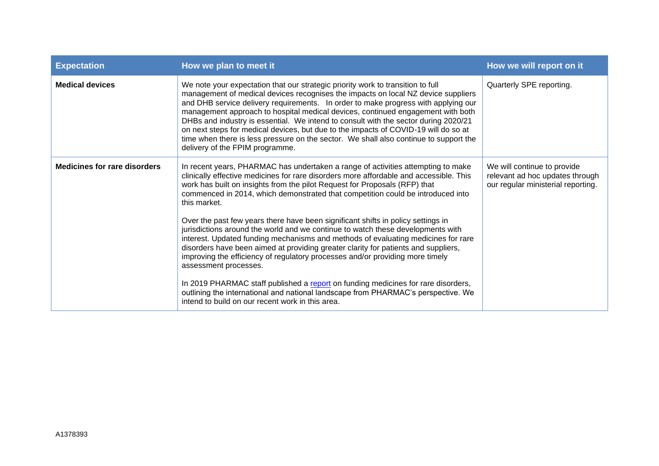| <b>Expectation</b>                  | How we plan to meet it                                                                                                                                                                                                                                                                                                                                                                                                                                                                                                                                                                                                                                  | How we will report on it                                                                             |
|-------------------------------------|---------------------------------------------------------------------------------------------------------------------------------------------------------------------------------------------------------------------------------------------------------------------------------------------------------------------------------------------------------------------------------------------------------------------------------------------------------------------------------------------------------------------------------------------------------------------------------------------------------------------------------------------------------|------------------------------------------------------------------------------------------------------|
| <b>Medical devices</b>              | We note your expectation that our strategic priority work to transition to full<br>management of medical devices recognises the impacts on local NZ device suppliers<br>and DHB service delivery requirements. In order to make progress with applying our<br>management approach to hospital medical devices, continued engagement with both<br>DHBs and industry is essential. We intend to consult with the sector during 2020/21<br>on next steps for medical devices, but due to the impacts of COVID-19 will do so at<br>time when there is less pressure on the sector. We shall also continue to support the<br>delivery of the FPIM programme. | Quarterly SPE reporting.                                                                             |
| <b>Medicines for rare disorders</b> | In recent years, PHARMAC has undertaken a range of activities attempting to make<br>clinically effective medicines for rare disorders more affordable and accessible. This<br>work has built on insights from the pilot Request for Proposals (RFP) that<br>commenced in 2014, which demonstrated that competition could be introduced into<br>this market.                                                                                                                                                                                                                                                                                             | We will continue to provide<br>relevant ad hoc updates through<br>our regular ministerial reporting. |
|                                     | Over the past few years there have been significant shifts in policy settings in<br>jurisdictions around the world and we continue to watch these developments with<br>interest. Updated funding mechanisms and methods of evaluating medicines for rare<br>disorders have been aimed at providing greater clarity for patients and suppliers,<br>improving the efficiency of regulatory processes and/or providing more timely<br>assessment processes.                                                                                                                                                                                                |                                                                                                      |
|                                     | In 2019 PHARMAC staff published a report on funding medicines for rare disorders,<br>outlining the international and national landscape from PHARMAC's perspective. We<br>intend to build on our recent work in this area.                                                                                                                                                                                                                                                                                                                                                                                                                              |                                                                                                      |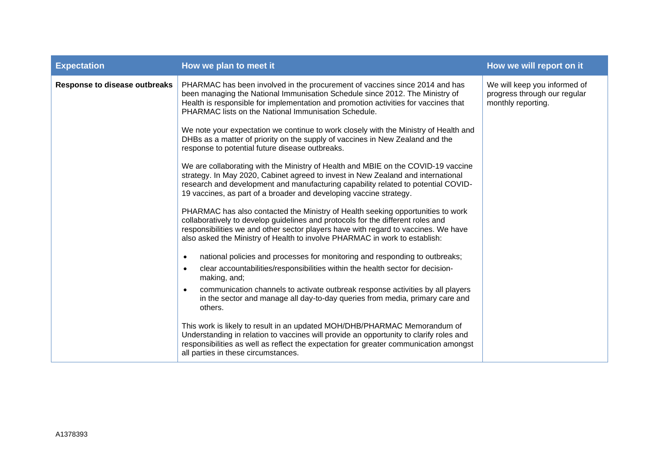| <b>Expectation</b>                   | How we plan to meet it                                                                                                                                                                                                                                                                                                                 | How we will report on it                                                           |
|--------------------------------------|----------------------------------------------------------------------------------------------------------------------------------------------------------------------------------------------------------------------------------------------------------------------------------------------------------------------------------------|------------------------------------------------------------------------------------|
| <b>Response to disease outbreaks</b> | PHARMAC has been involved in the procurement of vaccines since 2014 and has<br>been managing the National Immunisation Schedule since 2012. The Ministry of<br>Health is responsible for implementation and promotion activities for vaccines that<br>PHARMAC lists on the National Immunisation Schedule.                             | We will keep you informed of<br>progress through our regular<br>monthly reporting. |
|                                      | We note your expectation we continue to work closely with the Ministry of Health and<br>DHBs as a matter of priority on the supply of vaccines in New Zealand and the<br>response to potential future disease outbreaks.                                                                                                               |                                                                                    |
|                                      | We are collaborating with the Ministry of Health and MBIE on the COVID-19 vaccine<br>strategy. In May 2020, Cabinet agreed to invest in New Zealand and international<br>research and development and manufacturing capability related to potential COVID-<br>19 vaccines, as part of a broader and developing vaccine strategy.       |                                                                                    |
|                                      | PHARMAC has also contacted the Ministry of Health seeking opportunities to work<br>collaboratively to develop guidelines and protocols for the different roles and<br>responsibilities we and other sector players have with regard to vaccines. We have<br>also asked the Ministry of Health to involve PHARMAC in work to establish: |                                                                                    |
|                                      | national policies and processes for monitoring and responding to outbreaks;<br>$\bullet$                                                                                                                                                                                                                                               |                                                                                    |
|                                      | clear accountabilities/responsibilities within the health sector for decision-<br>$\bullet$<br>making, and;                                                                                                                                                                                                                            |                                                                                    |
|                                      | communication channels to activate outbreak response activities by all players<br>$\bullet$<br>in the sector and manage all day-to-day queries from media, primary care and<br>others.                                                                                                                                                 |                                                                                    |
|                                      | This work is likely to result in an updated MOH/DHB/PHARMAC Memorandum of<br>Understanding in relation to vaccines will provide an opportunity to clarify roles and<br>responsibilities as well as reflect the expectation for greater communication amongst<br>all parties in these circumstances.                                    |                                                                                    |